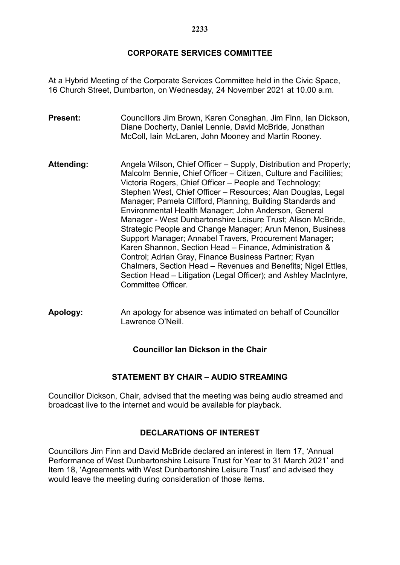## **CORPORATE SERVICES COMMITTEE**

At a Hybrid Meeting of the Corporate Services Committee held in the Civic Space, 16 Church Street, Dumbarton, on Wednesday, 24 November 2021 at 10.00 a.m.

- **Present:** Councillors Jim Brown, Karen Conaghan, Jim Finn, Ian Dickson, Diane Docherty, Daniel Lennie, David McBride, Jonathan McColl, Iain McLaren, John Mooney and Martin Rooney.
- Attending: Angela Wilson, Chief Officer Supply, Distribution and Property; Malcolm Bennie, Chief Officer – Citizen, Culture and Facilities; Victoria Rogers, Chief Officer – People and Technology; Stephen West, Chief Officer – Resources; Alan Douglas, Legal Manager; Pamela Clifford, Planning, Building Standards and Environmental Health Manager; John Anderson, General Manager - West Dunbartonshire Leisure Trust; Alison McBride, Strategic People and Change Manager; Arun Menon, Business Support Manager; Annabel Travers, Procurement Manager; Karen Shannon, Section Head – Finance, Administration & Control; Adrian Gray, Finance Business Partner; Ryan Chalmers, Section Head – Revenues and Benefits; Nigel Ettles, Section Head – Litigation (Legal Officer); and Ashley MacIntyre, Committee Officer.
- **Apology:** An apology for absence was intimated on behalf of Councillor Lawrence O'Neill.

# **Councillor Ian Dickson in the Chair**

#### **STATEMENT BY CHAIR – AUDIO STREAMING**

Councillor Dickson, Chair, advised that the meeting was being audio streamed and broadcast live to the internet and would be available for playback.

#### **DECLARATIONS OF INTEREST**

Councillors Jim Finn and David McBride declared an interest in Item 17, 'Annual Performance of West Dunbartonshire Leisure Trust for Year to 31 March 2021' and Item 18, 'Agreements with West Dunbartonshire Leisure Trust' and advised they would leave the meeting during consideration of those items.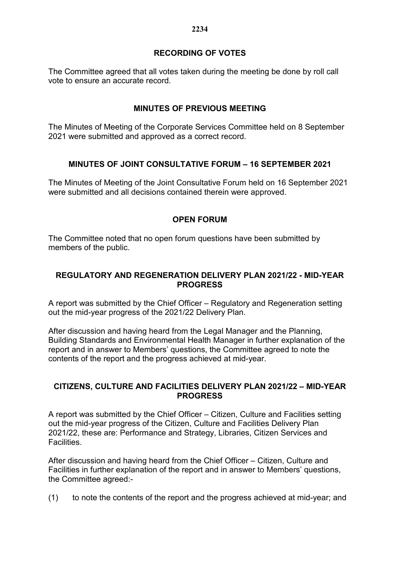## **RECORDING OF VOTES**

The Committee agreed that all votes taken during the meeting be done by roll call vote to ensure an accurate record.

## **MINUTES OF PREVIOUS MEETING**

The Minutes of Meeting of the Corporate Services Committee held on 8 September 2021 were submitted and approved as a correct record.

## **MINUTES OF JOINT CONSULTATIVE FORUM – 16 SEPTEMBER 2021**

The Minutes of Meeting of the Joint Consultative Forum held on 16 September 2021 were submitted and all decisions contained therein were approved.

#### **OPEN FORUM**

The Committee noted that no open forum questions have been submitted by members of the public.

### **REGULATORY AND REGENERATION DELIVERY PLAN 2021/22 - MID-YEAR PROGRESS**

A report was submitted by the Chief Officer – Regulatory and Regeneration setting out the mid-year progress of the 2021/22 Delivery Plan.

After discussion and having heard from the Legal Manager and the Planning, Building Standards and Environmental Health Manager in further explanation of the report and in answer to Members' questions, the Committee agreed to note the contents of the report and the progress achieved at mid-year.

#### **CITIZENS, CULTURE AND FACILITIES DELIVERY PLAN 2021/22 – MID-YEAR PROGRESS**

A report was submitted by the Chief Officer – Citizen, Culture and Facilities setting out the mid-year progress of the Citizen, Culture and Facilities Delivery Plan 2021/22, these are: Performance and Strategy, Libraries, Citizen Services and Facilities.

After discussion and having heard from the Chief Officer – Citizen, Culture and Facilities in further explanation of the report and in answer to Members' questions, the Committee agreed:-

(1) to note the contents of the report and the progress achieved at mid-year; and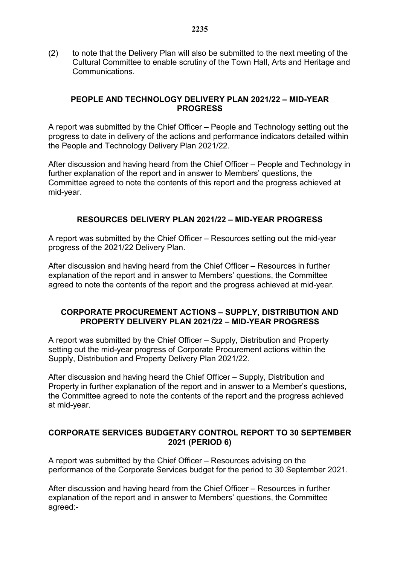(2) to note that the Delivery Plan will also be submitted to the next meeting of the Cultural Committee to enable scrutiny of the Town Hall, Arts and Heritage and Communications.

#### **PEOPLE AND TECHNOLOGY DELIVERY PLAN 2021/22 – MID-YEAR PROGRESS**

A report was submitted by the Chief Officer – People and Technology setting out the progress to date in delivery of the actions and performance indicators detailed within the People and Technology Delivery Plan 2021/22.

After discussion and having heard from the Chief Officer – People and Technology in further explanation of the report and in answer to Members' questions, the Committee agreed to note the contents of this report and the progress achieved at mid-year.

## **RESOURCES DELIVERY PLAN 2021/22 – MID-YEAR PROGRESS**

A report was submitted by the Chief Officer – Resources setting out the mid-year progress of the 2021/22 Delivery Plan.

After discussion and having heard from the Chief Officer **–** Resources in further explanation of the report and in answer to Members' questions, the Committee agreed to note the contents of the report and the progress achieved at mid-year.

#### **CORPORATE PROCUREMENT ACTIONS – SUPPLY, DISTRIBUTION AND PROPERTY DELIVERY PLAN 2021/22 – MID-YEAR PROGRESS**

A report was submitted by the Chief Officer – Supply, Distribution and Property setting out the mid-year progress of Corporate Procurement actions within the Supply, Distribution and Property Delivery Plan 2021/22.

After discussion and having heard the Chief Officer – Supply, Distribution and Property in further explanation of the report and in answer to a Member's questions, the Committee agreed to note the contents of the report and the progress achieved at mid-year.

#### **CORPORATE SERVICES BUDGETARY CONTROL REPORT TO 30 SEPTEMBER 2021 (PERIOD 6)**

A report was submitted by the Chief Officer – Resources advising on the performance of the Corporate Services budget for the period to 30 September 2021.

After discussion and having heard from the Chief Officer – Resources in further explanation of the report and in answer to Members' questions, the Committee agreed:-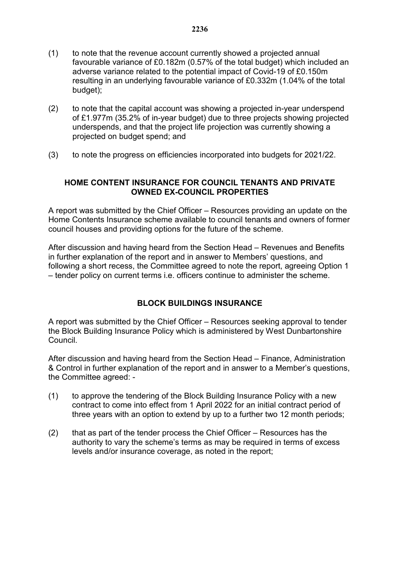- (1) to note that the revenue account currently showed a projected annual favourable variance of £0.182m (0.57% of the total budget) which included an adverse variance related to the potential impact of Covid-19 of £0.150m resulting in an underlying favourable variance of £0.332m (1.04% of the total budget);
- (2) to note that the capital account was showing a projected in-year underspend of £1.977m (35.2% of in-year budget) due to three projects showing projected underspends, and that the project life projection was currently showing a projected on budget spend; and
- (3) to note the progress on efficiencies incorporated into budgets for 2021/22.

### **HOME CONTENT INSURANCE FOR COUNCIL TENANTS AND PRIVATE OWNED EX-COUNCIL PROPERTIES**

A report was submitted by the Chief Officer – Resources providing an update on the Home Contents Insurance scheme available to council tenants and owners of former council houses and providing options for the future of the scheme.

After discussion and having heard from the Section Head – Revenues and Benefits in further explanation of the report and in answer to Members' questions, and following a short recess, the Committee agreed to note the report, agreeing Option 1 – tender policy on current terms i.e. officers continue to administer the scheme.

# **BLOCK BUILDINGS INSURANCE**

A report was submitted by the Chief Officer – Resources seeking approval to tender the Block Building Insurance Policy which is administered by West Dunbartonshire Council.

After discussion and having heard from the Section Head – Finance, Administration & Control in further explanation of the report and in answer to a Member's questions, the Committee agreed: -

- (1) to approve the tendering of the Block Building Insurance Policy with a new contract to come into effect from 1 April 2022 for an initial contract period of three years with an option to extend by up to a further two 12 month periods;
- (2) that as part of the tender process the Chief Officer Resources has the authority to vary the scheme's terms as may be required in terms of excess levels and/or insurance coverage, as noted in the report;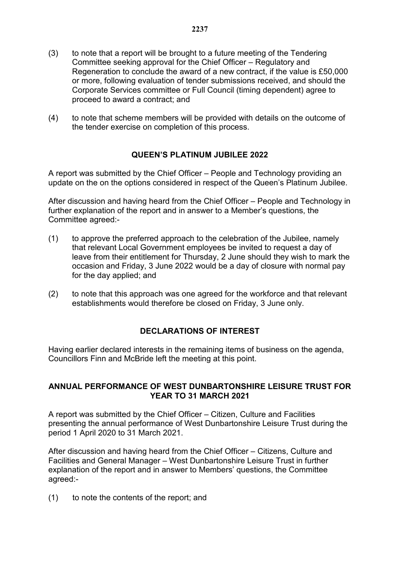- (3) to note that a report will be brought to a future meeting of the Tendering Committee seeking approval for the Chief Officer – Regulatory and Regeneration to conclude the award of a new contract, if the value is £50,000 or more, following evaluation of tender submissions received, and should the Corporate Services committee or Full Council (timing dependent) agree to proceed to award a contract; and
- (4) to note that scheme members will be provided with details on the outcome of the tender exercise on completion of this process.

## **QUEEN'S PLATINUM JUBILEE 2022**

A report was submitted by the Chief Officer – People and Technology providing an update on the on the options considered in respect of the Queen's Platinum Jubilee.

After discussion and having heard from the Chief Officer – People and Technology in further explanation of the report and in answer to a Member's questions, the Committee agreed:-

- (1) to approve the preferred approach to the celebration of the Jubilee, namely that relevant Local Government employees be invited to request a day of leave from their entitlement for Thursday, 2 June should they wish to mark the occasion and Friday, 3 June 2022 would be a day of closure with normal pay for the day applied; and
- (2) to note that this approach was one agreed for the workforce and that relevant establishments would therefore be closed on Friday, 3 June only.

# **DECLARATIONS OF INTEREST**

Having earlier declared interests in the remaining items of business on the agenda, Councillors Finn and McBride left the meeting at this point.

#### **ANNUAL PERFORMANCE OF WEST DUNBARTONSHIRE LEISURE TRUST FOR YEAR TO 31 MARCH 2021**

A report was submitted by the Chief Officer – Citizen, Culture and Facilities presenting the annual performance of West Dunbartonshire Leisure Trust during the period 1 April 2020 to 31 March 2021.

After discussion and having heard from the Chief Officer – Citizens, Culture and Facilities and General Manager – West Dunbartonshire Leisure Trust in further explanation of the report and in answer to Members' questions, the Committee agreed:-

(1) to note the contents of the report; and